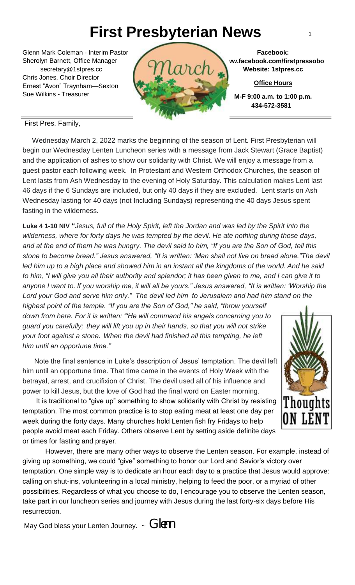# **First Presbyterian News** <sup>1</sup>

Glenn Mark Coleman - Interim Pastor Sherolyn Barnett, Office Manager secretary@1stpres.cc Chris Jones, Choir Director Ernest "Avon" Traynham—Sexton Sue Wilkins - Treasurer



**Facebook: www.facebook.com/firstpressobo Website: 1stpres.cc**

**Office Hours**

**M-F 9:00 a.m. to 1:00 p.m. 434-572-3581**

First Pres. Family,

 Wednesday March 2, 2022 marks the beginning of the season of Lent. First Presbyterian will begin our Wednesday Lenten Luncheon series with a message from Jack Stewart (Grace Baptist) and the application of ashes to show our solidarity with Christ. We will enjoy a message from a guest pastor each following week. In Protestant and Western Orthodox Churches, the season of Lent lasts from Ash Wednesday to the evening of Holy Saturday. This calculation makes Lent last 46 days if the 6 Sundays are included, but only 40 days if they are excluded. Lent starts on Ash Wednesday lasting for 40 days (not Including Sundays) representing the 40 days Jesus spent fasting in the wilderness.

 *to him, "I will give you all their authority and splendor; it has been given to me, and I can give it to anyone I want to. If you worship me, it will all be yours." Jesus answered, "It is written: 'Worship the*  **Luke 4 1-10 NIV "***Jesus, full of the Holy Spirit, left the Jordan and was led by the Spirit into the wilderness, where for forty days he was tempted by the devil. He ate nothing during those days, and at the end of them he was hungry. The devil said to him, "If you are the Son of God, tell this stone to become bread." Jesus answered, "It is written: 'Man shall not live on bread alone."The devil led him up to a high place and showed him in an instant all the kingdoms of the world. And he said Lord your God and serve him only." The devil led him to Jerusalem and had him stand on the* 

*highest point of the temple. "If you are the Son of God," he said, "throw yourself down from here. For it is written: "'He will command his angels concerning you to guard you carefully; they will lift you up in their hands, so that you will not strike your foot against a stone. When the devil had finished all this tempting, he left him until an opportune time."*

 Note the final sentence in Luke's description of Jesus' temptation. The devil left him until an opportune time. That time came in the events of Holy Week with the betrayal, arrest, and crucifixion of Christ. The devil used all of his influence and power to kill Jesus, but the love of God had the final word on Easter morning.

 It is traditional to "give up" something to show solidarity with Christ by resisting temptation. The most common practice is to stop eating meat at least one day per week during the forty days. Many churches hold Lenten fish fry Fridays to help people avoid meat each Friday. Others observe Lent by setting aside definite days or times for fasting and prayer.

However, there are many other ways to observe the Lenten season. For example, instead of giving up something, we could "give" something to honor our Lord and Savior's victory over temptation. One simple way is to dedicate an hour each day to a practice that Jesus would approve: calling on shut-ins, volunteering in a local ministry, helping to feed the poor, or a myriad of other possibilities. Regardless of what you choose to do, I encourage you to observe the Lenten season, take part in our luncheon series and journey with Jesus during the last forty-six days before His resurrection.

May God bless your Lenten Journey.  $\sim$  GIPM

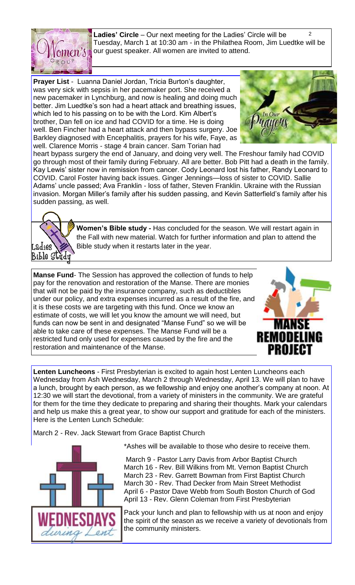

 $\mathfrak{p}$ **Ladies' Circle** – Our next meeting for the Ladies' Circle will be Tuesday, March 1 at 10:30 am - in the Philathea Room, Jim Luedtke will be our guest speaker. All women are invited to attend.

**Prayer List** - Luanna Daniel Jordan, Tricia Burton's daughter, was very sick with sepsis in her pacemaker port. She received a new pacemaker in Lynchburg, and now is healing and doing much better. Jim Luedtke's son had a heart attack and breathing issues, which led to his passing on to be with the Lord. Kim Albert's brother, Dan fell on ice and had COVID for a time. He is doing well. Ben Fincher had a heart attack and then bypass surgery. Joe Barkley diagnosed with Encephalitis, prayers for his wife, Faye, as well. Clarence Morris - stage 4 brain cancer. Sam Torian had



heart bypass surgery the end of January, and doing very well. The Freshour family had COVID go through most of their family during February. All are better. Bob Pitt had a death in the family. Kay Lewis' sister now in remission from cancer. Cody Leonard lost his father, Randy Leonard to COVID. Carol Foster having back issues. Ginger Jennings—loss of sister to COVID. Sallie Adams' uncle passed; Ava Franklin - loss of father, Steven Franklin. Ukraine with the Russian invasion. Morgan Miller's family after his sudden passing, and Kevin Satterfield's family after his sudden passing, as well.



**Women's Bible study -** Has concluded for the season. We will restart again in the Fall with new material. Watch for further information and plan to attend the Bible study when it restarts later in the year.

**Manse Fund**- The Session has approved the collection of funds to help pay for the renovation and restoration of the Manse. There are monies that will not be paid by the insurance company, such as deductibles under our policy, and extra expenses incurred as a result of the fire, and it is these costs we are targeting with this fund. Once we know an estimate of costs, we will let you know the amount we will need, but funds can now be sent in and designated "Manse Fund" so we will be able to take care of these expenses. The Manse Fund will be a restricted fund only used for expenses caused by the fire and the restoration and maintenance of the Manse.



**Lenten Luncheons** - First Presbyterian is excited to again host Lenten Luncheons each Wednesday from Ash Wednesday, March 2 through Wednesday, April 13. We will plan to have a lunch, brought by each person, as we fellowship and enjoy one another's company at noon. At 12:30 we will start the devotional, from a variety of ministers in the community. We are grateful for them for the time they dedicate to preparing and sharing their thoughts. Mark your calendars and help us make this a great year, to show our support and gratitude for each of the ministers. Here is the Lenten Lunch Schedule:

March 2 - Rev. Jack Stewart from Grace Baptist Church



\*Ashes will be available to those who desire to receive them.

March 9 - Pastor Larry Davis from Arbor Baptist Church March 16 - Rev. Bill Wilkins from Mt. Vernon Baptist Church March 23 - Rev. Garrett Bowman from First Baptist Church March 30 - Rev. Thad Decker from Main Street Methodist April 6 - Pastor Dave Webb from South Boston Church of God April 13 - Rev. Glenn Coleman from First Presbyterian

Pack your lunch and plan to fellowship with us at noon and enjoy the spirit of the season as we receive a variety of devotionals from the community ministers.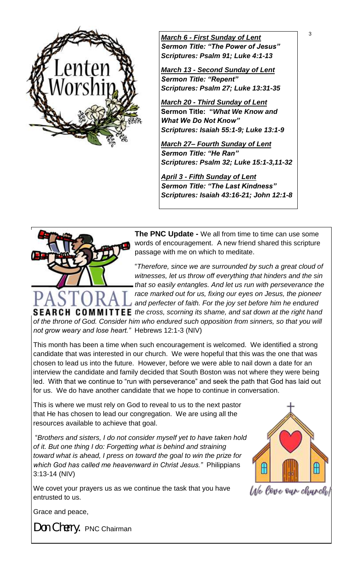

<sup>3</sup> *March 6 - First Sunday of Lent Sermon Title: "The Power of Jesus" Scriptures: Psalm 91; Luke 4:1-13*

*March 13 - Second Sunday of Lent Sermon Title: "Repent" Scriptures: Psalm 27; Luke 13:31-35*

*March 20 - Third Sunday of Lent* **Sermon Title: "***What We Know and What We Do Not Know" Scriptures: Isaiah 55:1-9; Luke 13:1-9*

*March 27– Fourth Sunday of Lent Sermon Title: "He Ran" Scriptures: Psalm 32; Luke 15:1-3,11-32*

*April 3 - Fifth Sunday of Lent Sermon Title: "The Last Kindness" Scriptures: Isaiah 43:16-21; John 12:1-8*



**The PNC Update -** We all from time to time can use some words of encouragement. A new friend shared this scripture passage with me on which to meditate.

"*Therefore, since we are surrounded by such a great cloud of witnesses, let us throw off everything that hinders and the sin that so easily entangles. And let us run with perseverance the race marked out for us, fixing our eyes on Jesus, the pioneer and perfecter of faith. For the joy set before him he endured* 

**SEARCH COMMITTEE** the cross, scorning its shame, and sat down at the right hand *of the throne of God. Consider him who endured such opposition from sinners, so that you will not grow weary and lose heart."* Hebrews 12:1-3 (NIV)

This month has been a time when such encouragement is welcomed. We identified a strong candidate that was interested in our church. We were hopeful that this was the one that was chosen to lead us into the future. However, before we were able to nail down a date for an interview the candidate and family decided that South Boston was not where they were being led. With that we continue to "run with perseverance" and seek the path that God has laid out for us. We do have another candidate that we hope to continue in conversation.

This is where we must rely on God to reveal to us to the next pastor that He has chosen to lead our congregation. We are using all the resources available to achieve that goal.

"*Brothers and sisters, I do not consider myself yet to have taken hold of it. But one thing I do: Forgetting what is behind and straining toward what is ahead, I press on toward the goal to win the prize for which God has called me heavenward in Christ Jesus."* Philippians 3:13-14 (NIV)

We covet your prayers us as we continue the task that you have entrusted to us.



Ule love our church!

Grace and peace,

*Don Cherry.* PNC Chairman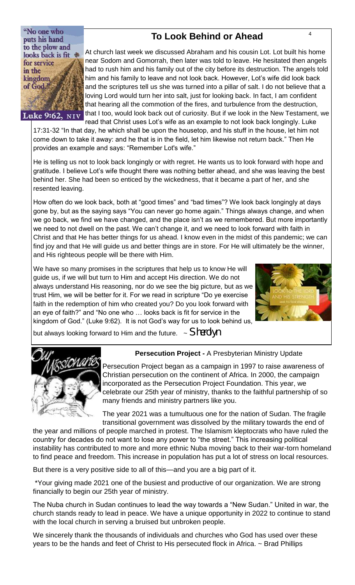"No one who puts his hand to the plow and looks back is fit \* for service in the kingdom of God.

Luke 9:62, NIV

# <sup>4</sup> **To Look Behind or Ahead**

At church last week we discussed Abraham and his cousin Lot. Lot built his home near Sodom and Gomorrah, then later was told to leave. He hesitated then angels had to rush him and his family out of the city before its destruction. The angels told him and his family to leave and not look back. However, Lot's wife did look back and the scriptures tell us she was turned into a pillar of salt. I do not believe that a loving Lord would turn her into salt, just for looking back. In fact, I am confident that hearing all the commotion of the fires, and turbulence from the destruction, that I too, would look back out of curiosity. But if we look in the New Testament, we read that Christ uses Lot's wife as an example to not look back longingly. Luke

17:31-32 "In that day, he which shall be upon the housetop, and his stuff in the house, let him not come down to take it away: and he that is in the field, let him likewise not return back." Then He provides an example and says: "Remember Lot's wife."

He is telling us not to look back longingly or with regret. He wants us to look forward with hope and gratitude. I believe Lot's wife thought there was nothing better ahead, and she was leaving the best behind her. She had been so enticed by the wickedness, that it became a part of her, and she resented leaving.

How often do we look back, both at "good times" and "bad times"? We look back longingly at days gone by, but as the saying says "You can never go home again." Things always change, and when we go back, we find we have changed, and the place isn't as we remembered. But more importantly we need to not dwell on the past. We can't change it, and we need to look forward with faith in Christ and that He has better things for us ahead. I know even in the midst of this pandemic; we can find joy and that He will guide us and better things are in store. For He will ultimately be the winner, and His righteous people will be there with Him.

We have so many promises in the scriptures that help us to know He will guide us, if we will but turn to Him and accept His direction. We do not always understand His reasoning, nor do we see the big picture, but as we trust Him, we will be better for it. For we read in scripture "Do ye exercise faith in the redemption of him who created you? Do you look forward with an eye of faith?" and "No one who … looks back is fit for service in the kingdom of God." (Luke 9:62). It is not God's way for us to look behind us,



but always looking forward to Him and the future. ~ *Sherolyn* 



## **Persecution Project -** A Presbyterian Ministry Update

Persecution Project began as a campaign in 1997 to raise awareness of Christian persecution on the continent of Africa. In 2000, the campaign incorporated as the Persecution Project Foundation. This year, we celebrate our 25th year of ministry, thanks to the faithful partnership of so many friends and ministry partners like you.

The year 2021 was a tumultuous one for the nation of Sudan. The fragile transitional government was dissolved by the military towards the end of

the year and millions of people marched in protest. The Islamism kleptocrats who have ruled the country for decades do not want to lose any power to "the street." This increasing political instability has contributed to more and more ethnic Nuba moving back to their war-torn homeland to find peace and freedom. This increase in population has put a lot of stress on local resources.

But there is a very positive side to all of this—and you are a big part of it.

\*Your giving made 2021 one of the busiest and productive of our organization. We are strong financially to begin our 25th year of ministry.

The Nuba church in Sudan continues to lead the way towards a "New Sudan." United in war, the church stands ready to lead in peace. We have a unique opportunity in 2022 to continue to stand with the local church in serving a bruised but unbroken people.

We sincerely thank the thousands of individuals and churches who God has used over these years to be the hands and feet of Christ to His persecuted flock in Africa. ~ Brad Phillips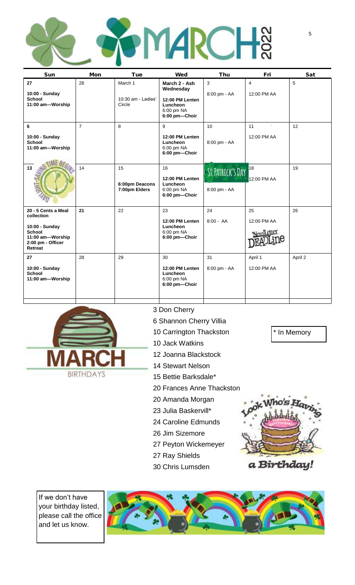| Mon            | Tue                                     | Wed                                                                                      | Thu                | Fri                           | Sat               |
|----------------|-----------------------------------------|------------------------------------------------------------------------------------------|--------------------|-------------------------------|-------------------|
| 28             | March 1<br>10:30 am - Ladies'<br>Circle | March 2 - Ash<br>Wednesday<br>12:00 PM Lenten<br>Luncheon<br>6:00 pm NA<br>6:00 pm-Choir | 3<br>8:00 pm - AA  | $\overline{4}$<br>12:00 PM AA | 5                 |
| $\overline{7}$ | 8                                       | 9<br>12:00 PM Lenten<br>Luncheon<br>6:00 pm NA<br>6:00 pm-Choir                          | 10<br>8:00 pm - AA | 11<br>12:00 PM AA             | 12                |
| 14             | 15<br>6:00pm Deacons<br>7:00pm Elders   | 16<br>12:00 PM Lenten<br>Luncheon<br>6:00 pm NA<br>6:00 pm-Choir                         | 8:00 pm - AA       | 18<br>12:00 PM AA             | 19                |
| 21             | 22                                      | 23<br>12:00 PM Lenten<br>Luncheon<br>6:00 pm NA<br>6:00 pm-Choir                         | 24<br>$8:00 - AA$  | 25<br>12:00 PM AA             | 26                |
| 28             | 29                                      | 30<br>12:00 PM Lenten<br>Luncheon<br>6:00 pm NA<br>6:00 pm-Choir                         | 31<br>8:00 pm - AA | April 1<br>12:00 PM AA        | April 2           |
|                |                                         |                                                                                          |                    |                               | ST. PATRICK'S DAY |



## 3 Don Cherry

- 6 Shannon Cherry Villia
- 10 Carrington Thackston
- 10 Jack Watkins
- 12 Joanna Blackstock
- 14 Stewart Nelson
- 15 Bettie Barksdale\*
- 20 Frances Anne Thackston
- 20 Amanda Morgan
- 23 Julia Baskervill\*
- 24 Caroline Edmunds
- 26 Jim Sizemore
- 27 Peyton Wickemeyer
- 27 Ray Shields
- 30 Chris Lumsden



\* In Memory

a Birthday!

If we don't have your birthday listed, please call the office and let us know.